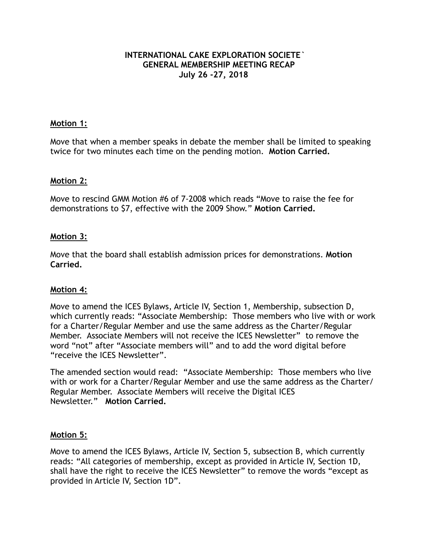### **INTERNATIONAL CAKE EXPLORATION SOCIETE` GENERAL MEMBERSHIP MEETING RECAP July 26 -27, 2018**

### **Motion 1:**

Move that when a member speaks in debate the member shall be limited to speaking twice for two minutes each time on the pending motion. **Motion Carried.** 

### **Motion 2:**

Move to rescind GMM Motion #6 of 7-2008 which reads "Move to raise the fee for demonstrations to \$7, effective with the 2009 Show." **Motion Carried.** 

### **Motion 3:**

Move that the board shall establish admission prices for demonstrations. **Motion Carried.** 

#### **Motion 4:**

Move to amend the ICES Bylaws, Article IV, Section 1, Membership, subsection D, which currently reads: "Associate Membership: Those members who live with or work for a Charter/Regular Member and use the same address as the Charter/Regular Member. Associate Members will not receive the ICES Newsletter" to remove the word "not" after "Associate members will" and to add the word digital before "receive the ICES Newsletter".

The amended section would read: "Associate Membership: Those members who live with or work for a Charter/Regular Member and use the same address as the Charter/ Regular Member. Associate Members will receive the Digital ICES Newsletter." **Motion Carried.**

## **Motion 5:**

Move to amend the ICES Bylaws, Article IV, Section 5, subsection B, which currently reads: "All categories of membership, except as provided in Article IV, Section 1D, shall have the right to receive the ICES Newsletter" to remove the words "except as provided in Article IV, Section 1D".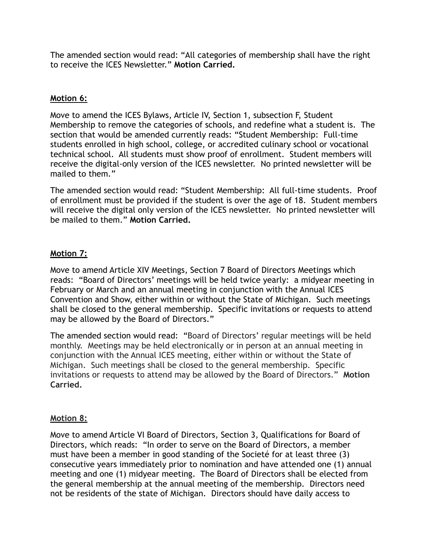The amended section would read: "All categories of membership shall have the right to receive the ICES Newsletter." **Motion Carried.** 

# **Motion 6:**

Move to amend the ICES Bylaws, Article IV, Section 1, subsection F, Student Membership to remove the categories of schools, and redefine what a student is. The section that would be amended currently reads: "Student Membership: Full-time students enrolled in high school, college, or accredited culinary school or vocational technical school. All students must show proof of enrollment. Student members will receive the digital-only version of the ICES newsletter. No printed newsletter will be mailed to them."

The amended section would read: "Student Membership: All full-time students. Proof of enrollment must be provided if the student is over the age of 18. Student members will receive the digital only version of the ICES newsletter. No printed newsletter will be mailed to them." **Motion Carried.** 

# **Motion 7:**

Move to amend Article XIV Meetings, Section 7 Board of Directors Meetings which reads: "Board of Directors' meetings will be held twice yearly: a midyear meeting in February or March and an annual meeting in conjunction with the Annual ICES Convention and Show, either within or without the State of Michigan. Such meetings shall be closed to the general membership. Specific invitations or requests to attend may be allowed by the Board of Directors."

The amended section would read: "Board of Directors' regular meetings will be held monthly. Meetings may be held electronically or in person at an annual meeting in conjunction with the Annual ICES meeting, either within or without the State of Michigan. Such meetings shall be closed to the general membership. Specific invitations or requests to attend may be allowed by the Board of Directors." **Motion Carried.** 

## **Motion 8:**

Move to amend Article VI Board of Directors, Section 3, Qualifications for Board of Directors, which reads: "In order to serve on the Board of Directors, a member must have been a member in good standing of the Societé for at least three (3) consecutive years immediately prior to nomination and have attended one (1) annual meeting and one (1) midyear meeting. The Board of Directors shall be elected from the general membership at the annual meeting of the membership. Directors need not be residents of the state of Michigan. Directors should have daily access to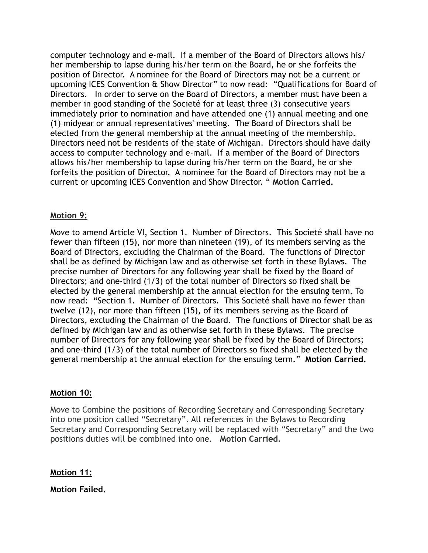computer technology and e-mail. If a member of the Board of Directors allows his/ her membership to lapse during his/her term on the Board, he or she forfeits the position of Director. A nominee for the Board of Directors may not be a current or upcoming ICES Convention & Show Director" to now read: "Qualifications for Board of Directors. In order to serve on the Board of Directors, a member must have been a member in good standing of the Societé for at least three (3) consecutive years immediately prior to nomination and have attended one (1) annual meeting and one (1) midyear or annual representatives' meeting. The Board of Directors shall be elected from the general membership at the annual meeting of the membership. Directors need not be residents of the state of Michigan. Directors should have daily access to computer technology and e-mail. If a member of the Board of Directors allows his/her membership to lapse during his/her term on the Board, he or she forfeits the position of Director. A nominee for the Board of Directors may not be a current or upcoming ICES Convention and Show Director. " **Motion Carried.** 

# **Motion 9:**

Move to amend Article VI, Section 1. Number of Directors. This Societé shall have no fewer than fifteen (15), nor more than nineteen (19), of its members serving as the Board of Directors, excluding the Chairman of the Board. The functions of Director shall be as defined by Michigan law and as otherwise set forth in these Bylaws. The precise number of Directors for any following year shall be fixed by the Board of Directors; and one-third (1/3) of the total number of Directors so fixed shall be elected by the general membership at the annual election for the ensuing term. To now read: "Section 1. Number of Directors. This Societé shall have no fewer than twelve (12), nor more than fifteen (15), of its members serving as the Board of Directors, excluding the Chairman of the Board. The functions of Director shall be as defined by Michigan law and as otherwise set forth in these Bylaws. The precise number of Directors for any following year shall be fixed by the Board of Directors; and one-third (1/3) of the total number of Directors so fixed shall be elected by the general membership at the annual election for the ensuing term." **Motion Carried.** 

## **Motion 10:**

Move to Combine the positions of Recording Secretary and Corresponding Secretary into one position called "Secretary". All references in the Bylaws to Recording Secretary and Corresponding Secretary will be replaced with "Secretary" and the two positions duties will be combined into one. **Motion Carried.**

# **Motion 11:**

**Motion Failed.**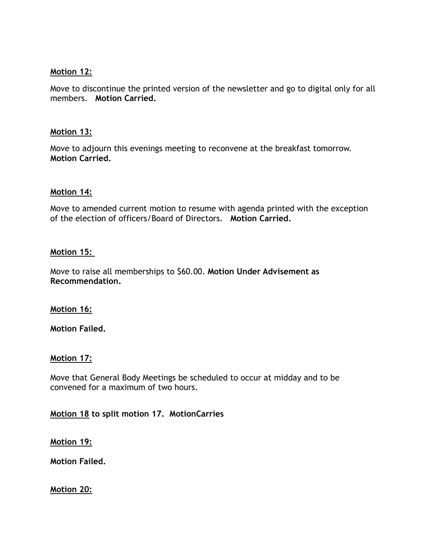# **Motion 12:**

Move to discontinue the printed version of the newsletter and go to digital only for all members. **Motion Carried.** 

# **Motion 13:**

Move to adjourn this evenings meeting to reconvene at the breakfast tomorrow. **Motion Carried.**

## **Motion 14:**

Move to amended current motion to resume with agenda printed with the exception of the election of officers/Board of Directors. **Motion Carried.** 

## **Motion 15:**

Move to raise all memberships to \$60.00. **Motion Under Advisement as Recommendation.**

## **Motion 16:**

**Motion Failed.** 

## **Motion 17:**

Move that General Body Meetings be scheduled to occur at midday and to be convened for a maximum of two hours.

**Motion 18 to split motion 17. MotionCarries** 

**Motion 19:**

**Motion Failed.** 

**Motion 20:**